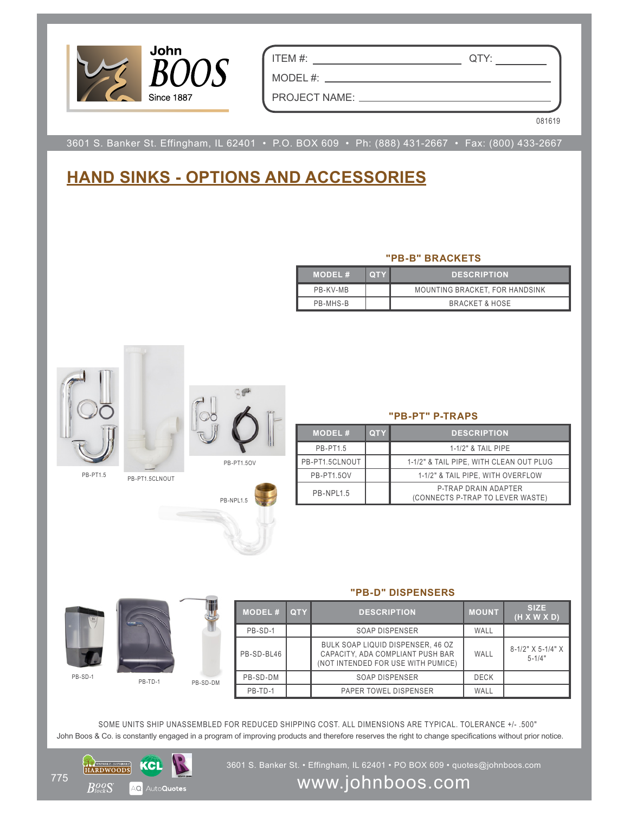

ITEM #: QTY:

PROJECT NAME:

MODEL #:

081619

3601 S. Banker St. Effingham, IL 62401 • P.O. BOX 609 • Ph: (888) 431-2667 • Fax: (800) 433-2667

## **HAND SINKS - OPTIONS AND ACCESSORIES**

## **"PB-B" BRACKETS**

| <b>MODEL#</b> | <b>OTY</b> | <b>DESCRIPTION</b>             |
|---------------|------------|--------------------------------|
| PR-KV-MR      |            | MOUNTING BRACKET, FOR HANDSINK |
| PB-MHS-B      |            | <b>BRACKET &amp; HOSE</b>      |



## **"PB-PT" P-TRAPS**

| <b>MODEL#</b>     | <b>QTY</b> | <b>DESCRIPTION</b>                                       |
|-------------------|------------|----------------------------------------------------------|
| <b>PB-PT1.5</b>   |            | 1-1/2" & TAIL PIPE                                       |
| PB-PT1.5CLNOUT    |            | 1-1/2" & TAIL PIPE, WITH CLEAN OUT PLUG                  |
| <b>PB-PT1.50V</b> |            | 1-1/2" & TAIL PIPE, WITH OVERFLOW                        |
| <b>PR-NPI15</b>   |            | P-TRAP DRAIN ADAPTER<br>(CONNECTS P-TRAP TO LEVER WASTE) |



**"PB-D" DISPENSERS**

| <b>MODEL#</b> | <b>QTY</b> | <b>DESCRIPTION</b>                                                                                          | <b>MOUNT</b> | <b>SIZE</b><br>(H X W X D)      |
|---------------|------------|-------------------------------------------------------------------------------------------------------------|--------------|---------------------------------|
| PB-SD-1       |            | SOAP DISPENSER                                                                                              | WALL         |                                 |
| PB-SD-BL46    |            | BULK SOAP LIQUID DISPENSER, 46 OZ<br>CAPACITY, ADA COMPLIANT PUSH BAR<br>(NOT INTENDED FOR USE WITH PUMICE) | WALL         | 8-1/2" X 5-1/4" X<br>$5 - 1/4"$ |
| PB-SD-DM      |            | SOAP DISPENSER                                                                                              | <b>DECK</b>  |                                 |
| PB-TD-1       |            | PAPER TOWEL DISPENSER                                                                                       | WALL         |                                 |

John Boos & Co. is constantly engaged in a program of improving products and therefore reserves the right to change specifications without prior notice. SOME UNITS SHIP UNASSEMBLED FOR REDUCED SHIPPING COST. ALL DIMENSIONS ARE TYPICAL. TOLERANCE +/- .500"



3601 S. Banker St. • Effingham, IL 62401 • PO BOX 609 • quotes@johnboos.com